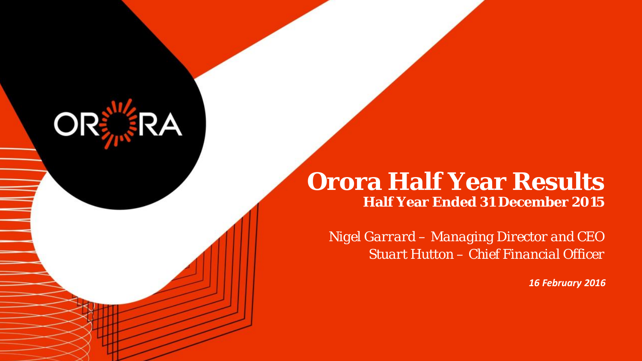# **Orora Half Year Results Half Year Ended 31 December 2015**

OR

*Nigel Garrard – Managing Director and CEO Stuart Hutton – Chief Financial Officer*

*16 February 2016*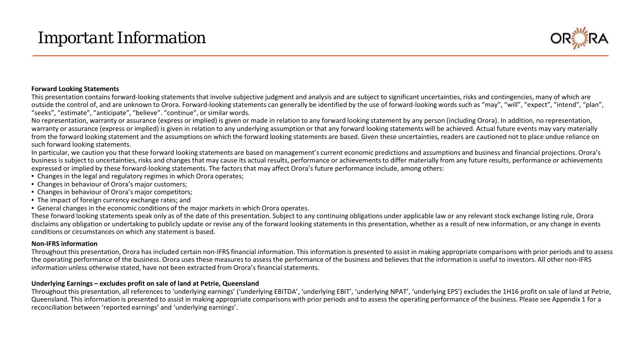# *Important Information*



#### **Forward Looking Statements**

This presentation contains forward-looking statements that involve subjective judgment and analysis and are subject to significant uncertainties, risks and contingencies, many of which are outside the control of, and are unknown to Orora. Forward-looking statements can generally be identified by the use of forward-looking words such as "may", "will", "expect", "intend", "plan", "seeks", "estimate", "anticipate", "believe". "continue", or similar words.

No representation, warranty or assurance (express or implied) is given or made in relation to any forward looking statement by any person (including Orora). In addition, no representation, warranty or assurance (express or implied) is given in relation to any underlying assumption or that any forward looking statements will be achieved. Actual future events may vary materially from the forward looking statement and the assumptions on which the forward looking statements are based. Given these uncertainties, readers are cautioned not to place undue reliance on such forward looking statements.

In particular, we caution you that these forward looking statements are based on management's current economic predictions and assumptions and business and financial projections. Orora's business is subject to uncertainties, risks and changes that may cause its actual results, performance or achievements to differ materially from any future results, performance or achievements expressed or implied by these forward-looking statements. The factors that may affect Orora's future performance include, among others:

- Changes in the legal and regulatory regimes in which Orora operates;
- Changes in behaviour of Orora's major customers;
- Changes in behaviour of Orora's major competitors;
- The impact of foreign currency exchange rates; and
- General changes in the economic conditions of the major markets in which Orora operates.

These forward looking statements speak only as of the date of this presentation. Subject to any continuing obligations under applicable law or any relevant stock exchange listing rule, Orora disclaims any obligation or undertaking to publicly update or revise any of the forward looking statements in this presentation, whether as a result of new information, or any change in events conditions or circumstances on which any statement is based.

#### **Non-IFRS information**

Throughout this presentation, Orora has included certain non-IFRS financial information. This information is presented to assist in making appropriate comparisons with prior periods and to assess the operating performance of the business. Orora uses these measures to assess the performance of the business and believes that the information is useful to investors. All other non-IFRS information unless otherwise stated, have not been extracted from Orora's financial statements.

#### **Underlying Earnings – excludes profit on sale of land at Petrie, Queensland**

Throughout this presentation, all references to 'underlying earnings' ('underlying EBITDA', 'underlying EBIT', 'underlying NPAT', 'underlying EPS') excludes the 1H16 profit on sale of land at Petrie, Queensland. This information is presented to assist in making appropriate comparisons with prior periods and to assess the operating performance of the business. Please see Appendix 1 for a reconciliation between 'reported earnings' and 'underlying earnings'.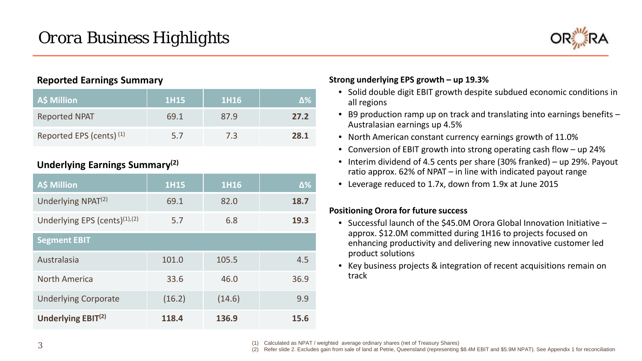

## **Reported Earnings Summary**

| A\$ Million                         | <b>1H15</b> | 1H16 |      |
|-------------------------------------|-------------|------|------|
| <b>Reported NPAT</b>                | 69.1        | 87.9 | 27.2 |
| Reported EPS (cents) <sup>(1)</sup> | 5.7         | 7.3  | 28.1 |

## **Underlying Earnings Summary(2)**

| <b>A\$ Million</b>                   | <b>1H15</b> | 1H16   | $\Delta\%$ |
|--------------------------------------|-------------|--------|------------|
| Underlying NPAT <sup>(2)</sup>       | 69.1        | 82.0   | 18.7       |
| Underlying EPS (cents) $(1)$ , $(2)$ | 5.7         | 6.8    | 19.3       |
| <b>Segment EBIT</b>                  |             |        |            |
| Australasia                          | 101.0       | 105.5  | 4.5        |
| <b>North America</b>                 | 33.6        | 46.0   | 36.9       |
| <b>Underlying Corporate</b>          | (16.2)      | (14.6) | 9.9        |
| Underlying EBIT <sup>(2)</sup>       | 118.4       | 136.9  | 15.6       |

### **Strong underlying EPS growth – up 19.3%**

- Solid double digit EBIT growth despite subdued economic conditions in all regions
- B9 production ramp up on track and translating into earnings benefits Australasian earnings up 4.5%
- North American constant currency earnings growth of 11.0%
- Conversion of EBIT growth into strong operating cash flow up 24%
- Interim dividend of 4.5 cents per share (30% franked) up 29%. Payout ratio approx. 62% of NPAT – in line with indicated payout range
- Leverage reduced to 1.7x, down from 1.9x at June 2015

### **Positioning Orora for future success**

- Successful launch of the \$45.0M Orora Global Innovation Initiative approx. \$12.0M committed during 1H16 to projects focused on enhancing productivity and delivering new innovative customer led product solutions
- Key business projects & integration of recent acquisitions remain on track

Calculated as NPAT / weighted average ordinary shares (net of Treasury Shares)

(2) Refer slide 2. Excludes gain from sale of land at Petrie, Queensland (representing \$8.4M EBIT and \$5.9M NPAT). See Appendix 1 for reconciliation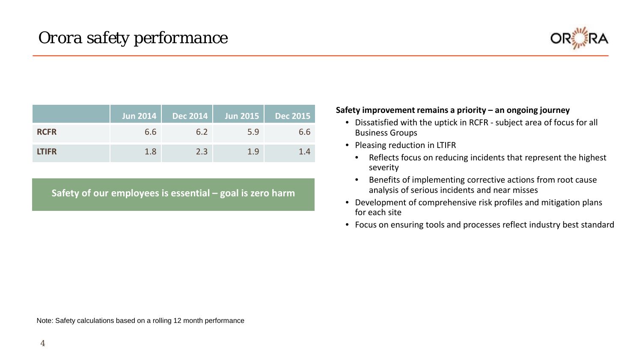

|              |     |     | Jun 2014   Dec 2014   Jun 2015   Dec 2015 |     |
|--------------|-----|-----|-------------------------------------------|-----|
| <b>RCFR</b>  | 6.6 | 6.2 | 5.9                                       | 6.6 |
| <b>LTIFR</b> | 1.8 | 2.3 | 1.9                                       | 14  |

**Safety of our employees is essential – goal is zero harm**

### **Safety improvement remains a priority – an ongoing journey**

- Dissatisfied with the uptick in RCFR subject area of focus for all Business Groups
- Pleasing reduction in LTIFR
	- Reflects focus on reducing incidents that represent the highest severity
	- Benefits of implementing corrective actions from root cause analysis of serious incidents and near misses
- Development of comprehensive risk profiles and mitigation plans for each site
- Focus on ensuring tools and processes reflect industry best standard

Note: Safety calculations based on a rolling 12 month performance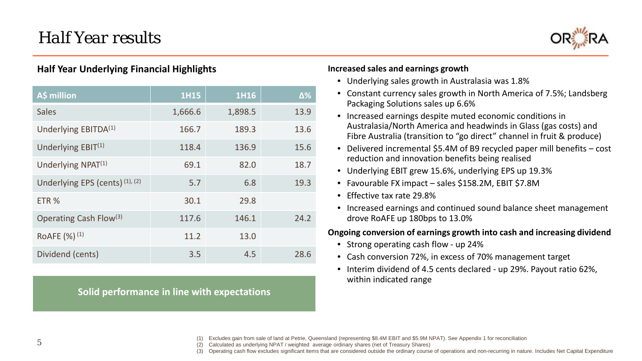

## **Half Year Underlying Financial Highlights**

| A\$ million                        | $1H$ <sup>15</sup> | 1H16    | $\Delta\%$ |
|------------------------------------|--------------------|---------|------------|
| <b>Sales</b>                       | 1,666.6            | 1,898.5 | 13.9       |
| Underlying EBITDA <sup>(1)</sup>   | 166.7              | 189.3   | 13.6       |
| Underlying $EBIT(1)$               | 118.4              | 136.9   | 15.6       |
| Underlying NPAT <sup>(1)</sup>     | 69.1               | 82.0    | 18.7       |
| Underlying EPS (cents) (1), (2)    | 5.7                | 6.8     | 19.3       |
| ETR <sub>%</sub>                   | 30.1               | 29.8    |            |
| Operating Cash Flow <sup>(3)</sup> | 117.6              | 146.1   | 24.2       |
| RoAFE (%) <sup>(1)</sup>           | 11.2               | 13.0    |            |
| Dividend (cents)                   | 3.5                | 4.5     | 28.6       |

**Solid performance in line with expectations**

#### **Increased sales and earnings growth**

- Underlying sales growth in Australasia was 1.8%
- Constant currency sales growth in North America of 7.5%; Landsberg Packaging Solutions sales up 6.6%
- Increased earnings despite muted economic conditions in Australasia/North America and headwinds in Glass (gas costs) and Fibre Australia (transition to "go direct" channel in fruit & produce)
- Delivered incremental \$5.4M of B9 recycled paper mill benefits cost reduction and innovation benefits being realised
- Underlying EBIT grew 15.6%, underlying EPS up 19.3%
- Favourable FX impact sales \$158.2M, EBIT \$7.8M
- Effective tax rate 29.8%
- Increased earnings and continued sound balance sheet management drove RoAFE up 180bps to 13.0%

### **Ongoing conversion of earnings growth into cash and increasing dividend**

- Strong operating cash flow up 24%
- Cash conversion 72%, in excess of 70% management target
- Interim dividend of 4.5 cents declared up 29%. Payout ratio 62%, within indicated range

(1) Excludes gain from sale of land at Petrie, Queensland (representing \$8.4M EBIT and \$5.9M NPAT). See Appendix 1 for reconciliation

(2) Calculated as underlying NPAT / weighted average ordinary shares (net of Treasury Shares)

(3) Operating cash flow excludes significant items that are considered outside the ordinary course of operations and non-recurring in nature. Includes Net Capital Expenditure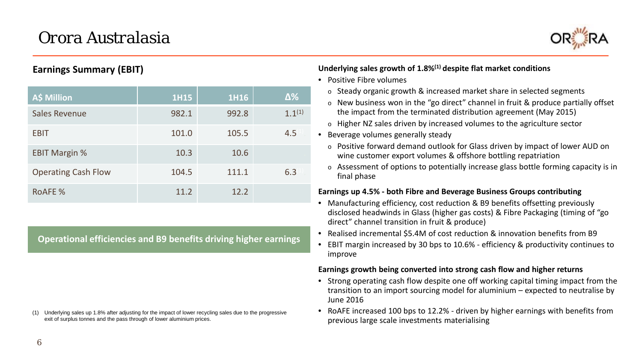

## **Earnings Summary (EBIT)**

| <b>A\$ Million</b>         | <b>1H15</b> | 1H16  | $\Delta\%$  |
|----------------------------|-------------|-------|-------------|
| <b>Sales Revenue</b>       | 982.1       | 992.8 | $1.1^{(1)}$ |
| <b>EBIT</b>                | 101.0       | 105.5 | 4.5         |
| <b>EBIT Margin %</b>       | 10.3        | 10.6  |             |
| <b>Operating Cash Flow</b> | 104.5       | 111.1 | 6.3         |
| <b>ROAFE %</b>             | 11.2        | 12.2  |             |

**Operational efficiencies and B9 benefits driving higher earnings**

(1) Underlying sales up 1.8% after adjusting for the impact of lower recycling sales due to the progressive exit of surplus tonnes and the pass through of lower aluminium prices.

**Underlying sales growth of 1.8%(1) despite flat market conditions**

- Positive Fibre volumes
	- $\circ$  Steady organic growth & increased market share in selected segments
	- o New business won in the "go direct" channel in fruit & produce partially offset the impact from the terminated distribution agreement (May 2015)
	- $\circ$  Higher NZ sales driven by increased volumes to the agriculture sector
- Beverage volumes generally steady
	- o Positive forward demand outlook for Glass driven by impact of lower AUD on wine customer export volumes & offshore bottling repatriation
	- $\circ$  Assessment of options to potentially increase glass bottle forming capacity is in final phase

#### **Earnings up 4.5% - both Fibre and Beverage Business Groups contributing**

- Manufacturing efficiency, cost reduction & B9 benefits offsetting previously disclosed headwinds in Glass (higher gas costs) & Fibre Packaging (timing of "go direct" channel transition in fruit & produce)
- Realised incremental \$5.4M of cost reduction & innovation benefits from B9
- EBIT margin increased by 30 bps to 10.6% efficiency & productivity continues to improve

#### **Earnings growth being converted into strong cash flow and higher returns**

- Strong operating cash flow despite one off working capital timing impact from the transition to an import sourcing model for aluminium – expected to neutralise by June 2016
- RoAFE increased 100 bps to 12.2% driven by higher earnings with benefits from previous large scale investments materialising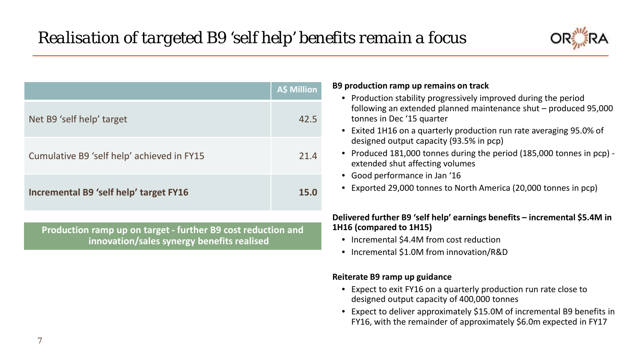

|                                                              | <b>A\$ Million</b> | B9 production ramp up remains on track<br>• Production stability progressively improved during the period                                                            |
|--------------------------------------------------------------|--------------------|----------------------------------------------------------------------------------------------------------------------------------------------------------------------|
| Net B9 'self help' target                                    | 42.5               | following an extended planned maintenance shut - produced 95,000<br>tonnes in Dec '15 quarter<br>• Exited 1H16 on a quarterly production run rate averaging 95.0% of |
|                                                              |                    | designed output capacity (93.5% in pcp)                                                                                                                              |
| Cumulative B9 'self help' achieved in FY15                   | 21.4               | • Produced 181,000 tonnes during the period (185,000 tonnes in pcp) -<br>extended shut affecting volumes                                                             |
|                                                              |                    | • Good performance in Jan '16                                                                                                                                        |
| Incremental B9 'self help' target FY16                       | 15.0               | • Exported 29,000 tonnes to North America (20,000 tonnes in pcp)                                                                                                     |
|                                                              |                    | Delivered further B9 'self help' earnings benefits – incremental \$5.4M in                                                                                           |
| Production ramp up on target - further B9 cost reduction and |                    | 1H16 (compared to 1H15)                                                                                                                                              |
| innovation/sales synergy benefits realised                   |                    | • Incremental \$4.4M from cost reduction                                                                                                                             |
|                                                              |                    | Incremental \$1.0M from innovation/R&D                                                                                                                               |
|                                                              |                    | Reiterate B9 ramp up guidance                                                                                                                                        |

- Expect to exit FY16 on a quarterly production run rate close to designed output capacity of 400,000 tonnes
- Expect to deliver approximately \$15.0M of incremental B9 benefits in FY16, with the remainder of approximately \$6.0m expected in FY17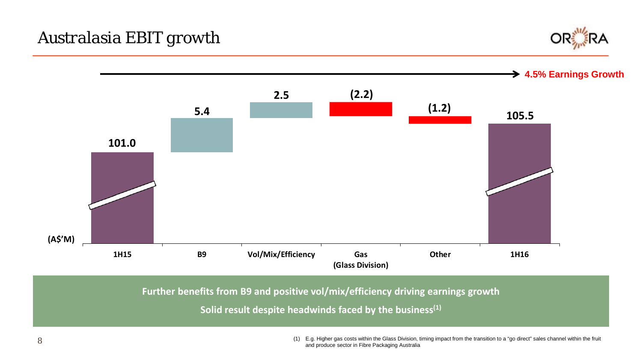



**Further benefits from B9 and positive vol/mix/efficiency driving earnings growth**

**Solid result despite headwinds faced by the business(1)**

(1) E.g. Higher gas costs within the Glass Division, timing impact from the transition to a "go direct" sales channel within the fruit and produce sector in Fibre Packaging Australia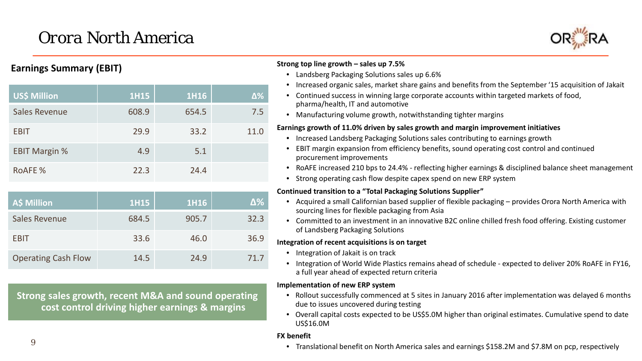# *Orora North America*



## **Earnings Summary (EBIT)**

| <b>US\$ Million</b>  | <b>1H15</b> | 1H16  | $\Delta\%$ |
|----------------------|-------------|-------|------------|
| <b>Sales Revenue</b> | 608.9       | 654.5 | 7.5        |
| <b>EBIT</b>          | 29.9        | 33.2  | 11.0       |
| <b>EBIT Margin %</b> | 4.9         | 5.1   |            |
| <b>ROAFE %</b>       | 22.3        | 24.4  |            |

| <b>A\$ Million</b>         | <b>1H15</b> | 1H16  | Δ%   |
|----------------------------|-------------|-------|------|
| <b>Sales Revenue</b>       | 684.5       | 905.7 | 32.3 |
| <b>EBIT</b>                | 33.6        | 46.0  | 36.9 |
| <b>Operating Cash Flow</b> | 14.5        | 24.9  | 71.7 |

**Strong sales growth, recent M&A and sound operating cost control driving higher earnings & margins**

#### **Strong top line growth – sales up 7.5%**

- Landsberg Packaging Solutions sales up 6.6%
- Increased organic sales, market share gains and benefits from the September '15 acquisition of Jakait
- Continued success in winning large corporate accounts within targeted markets of food, pharma/health, IT and automotive
- Manufacturing volume growth, notwithstanding tighter margins

#### **Earnings growth of 11.0% driven by sales growth and margin improvement initiatives**

- Increased Landsberg Packaging Solutions sales contributing to earnings growth
- EBIT margin expansion from efficiency benefits, sound operating cost control and continued procurement improvements
- RoAFE increased 210 bps to 24.4% reflecting higher earnings & disciplined balance sheet management
- Strong operating cash flow despite capex spend on new ERP system

#### **Continued transition to a "Total Packaging Solutions Supplier"**

- Acquired a small Californian based supplier of flexible packaging provides Orora North America with sourcing lines for flexible packaging from Asia
- Committed to an investment in an innovative B2C online chilled fresh food offering. Existing customer of Landsberg Packaging Solutions

#### **Integration of recent acquisitions is on target**

- Integration of Jakait is on track
- Integration of World Wide Plastics remains ahead of schedule expected to deliver 20% RoAFE in FY16, a full year ahead of expected return criteria

#### **Implementation of new ERP system**

- Rollout successfully commenced at 5 sites in January 2016 after implementation was delayed 6 months due to issues uncovered during testing
- Overall capital costs expected to be US\$5.0M higher than original estimates. Cumulative spend to date US\$16.0M

#### **FX benefit**

• Translational benefit on North America sales and earnings \$158.2M and \$7.8M on pcp, respectively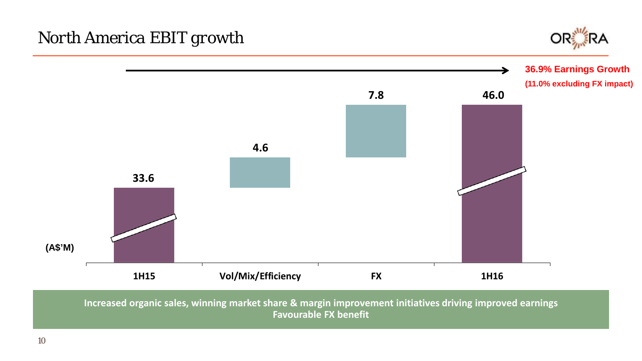



**Increased organic sales, winning market share & margin improvement initiatives driving improved earnings Favourable FX benefit**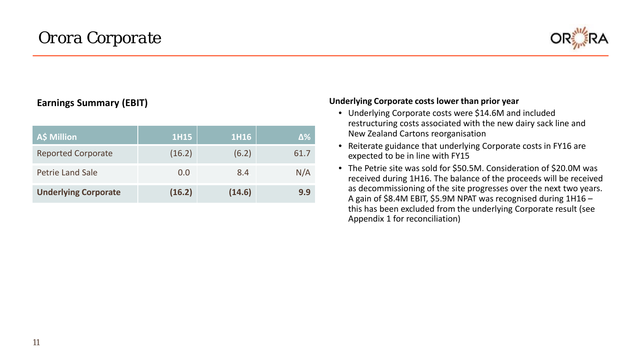

## **Earnings Summary (EBIT)**

| A\$ Million                 | <b>1H15</b> | 1H16   | Δ%   |
|-----------------------------|-------------|--------|------|
| <b>Reported Corporate</b>   | (16.2)      | (6.2)  | 61.7 |
| <b>Petrie Land Sale</b>     | 0.0         | 8.4    | N/A  |
| <b>Underlying Corporate</b> | (16.2)      | (14.6) | 9.9  |

#### **Underlying Corporate costs lower than prior year**

- Underlying Corporate costs were \$14.6M and included restructuring costs associated with the new dairy sack line and New Zealand Cartons reorganisation
- Reiterate guidance that underlying Corporate costs in FY16 are expected to be in line with FY15
- The Petrie site was sold for \$50.5M. Consideration of \$20.0M was received during 1H16. The balance of the proceeds will be received as decommissioning of the site progresses over the next two years. A gain of \$8.4M EBIT, \$5.9M NPAT was recognised during 1H16 – this has been excluded from the underlying Corporate result (see Appendix 1 for reconciliation)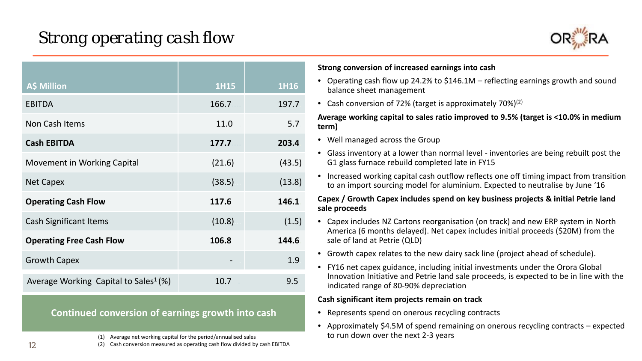

| <b>A\$ Million</b>                                | <b>1H15</b> | 1H16   |
|---------------------------------------------------|-------------|--------|
| <b>EBITDA</b>                                     | 166.7       | 197.7  |
| Non Cash Items                                    | 11.0        | 5.7    |
| <b>Cash EBITDA</b>                                | 177.7       | 203.4  |
| Movement in Working Capital                       | (21.6)      | (43.5) |
| <b>Net Capex</b>                                  | (38.5)      | (13.8) |
| <b>Operating Cash Flow</b>                        | 117.6       | 146.1  |
| <b>Cash Significant Items</b>                     | (10.8)      | (1.5)  |
| <b>Operating Free Cash Flow</b>                   | 106.8       | 144.6  |
| <b>Growth Capex</b>                               |             | 1.9    |
| Average Working Capital to Sales <sup>1</sup> (%) | 10.7        | 9.5    |

**Continued conversion of earnings growth into cash**

(1) Average net working capital for the period/annualised sales

(2) Cash conversion measured as operating cash flow divided by cash EBITDA

#### **Strong conversion of increased earnings into cash**

- Operating cash flow up 24.2% to \$146.1M reflecting earnings growth and sound balance sheet management
- Cash conversion of 72% (target is approximately 70%) $(2)$

#### **Average working capital to sales ratio improved to 9.5% (target is <10.0% in medium term)**

- Well managed across the Group
- Glass inventory at a lower than normal level inventories are being rebuilt post the G1 glass furnace rebuild completed late in FY15
- Increased working capital cash outflow reflects one off timing impact from transition to an import sourcing model for aluminium. Expected to neutralise by June '16

#### **Capex / Growth Capex includes spend on key business projects & initial Petrie land sale proceeds**

- Capex includes NZ Cartons reorganisation (on track) and new ERP system in North America (6 months delayed). Net capex includes initial proceeds (\$20M) from the sale of land at Petrie (QLD)
- Growth capex relates to the new dairy sack line (project ahead of schedule).
- FY16 net capex guidance, including initial investments under the Orora Global Innovation Initiative and Petrie land sale proceeds, is expected to be in line with the indicated range of 80-90% depreciation

#### **Cash significant item projects remain on track**

- Represents spend on onerous recycling contracts
- Approximately \$4.5M of spend remaining on onerous recycling contracts expected to run down over the next 2-3 years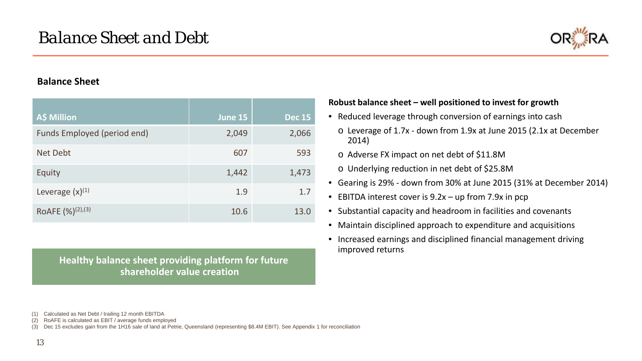

## **Balance Sheet**

| A\$ Million                     | <b>June 15</b> | <b>Dec 15</b> |
|---------------------------------|----------------|---------------|
| Funds Employed (period end)     | 2,049          | 2,066         |
| <b>Net Debt</b>                 | 607            | 593           |
| Equity                          | 1,442          | 1,473         |
| Leverage $(x)^{(1)}$            | 1.9            | 1.7           |
| ROAFE $(\frac{9}{6})^{(2),(3)}$ | 10.6           | 13.0          |

**Healthy balance sheet providing platform for future shareholder value creation**

**Robust balance sheet – well positioned to invest for growth**

- Reduced leverage through conversion of earnings into cash
	- o Leverage of 1.7x down from 1.9x at June 2015 (2.1x at December 2014)
	- o Adverse FX impact on net debt of \$11.8M
	- o Underlying reduction in net debt of \$25.8M
- Gearing is 29% down from 30% at June 2015 (31% at December 2014)
- EBITDA interest cover is 9.2x up from 7.9x in pcp
- Substantial capacity and headroom in facilities and covenants
- Maintain disciplined approach to expenditure and acquisitions
- Increased earnings and disciplined financial management driving improved returns

<sup>(1)</sup> Calculated as Net Debt / trailing 12 month EBITDA

<sup>(2)</sup> RoAFE is calculated as EBIT / average funds employed

<sup>(3)</sup> Dec 15 excludes gain from the 1H16 sale of land at Petrie, Queensland (representing \$8.4M EBIT). See Appendix 1 for reconciliation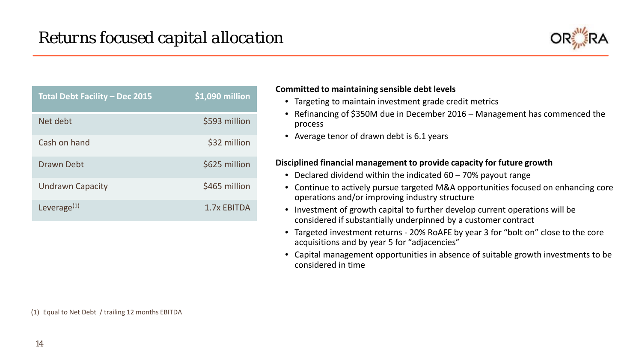

| <b>Total Debt Facility - Dec 2015</b> | \$1,090 million |
|---------------------------------------|-----------------|
| Net debt                              | \$593 million   |
| Cash on hand                          | \$32 million    |
| <b>Drawn Debt</b>                     | \$625 million   |
| <b>Undrawn Capacity</b>               | \$465 million   |
| Leverage $(1)$                        | 1.7x EBITDA     |

#### **Committed to maintaining sensible debt levels**

- Targeting to maintain investment grade credit metrics
- Refinancing of \$350M due in December 2016 Management has commenced the process
- Average tenor of drawn debt is 6.1 years

### **Disciplined financial management to provide capacity for future growth**

- Declared dividend within the indicated 60 70% payout range
- Continue to actively pursue targeted M&A opportunities focused on enhancing core operations and/or improving industry structure
- Investment of growth capital to further develop current operations will be considered if substantially underpinned by a customer contract
- Targeted investment returns 20% RoAFE by year 3 for "bolt on" close to the core acquisitions and by year 5 for "adjacencies"
- Capital management opportunities in absence of suitable growth investments to be considered in time

(1) Equal to Net Debt / trailing 12 months EBITDA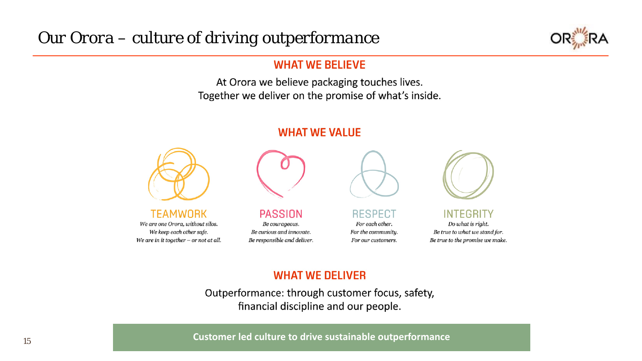

## **WHAT WE BELIEVE**

At Orora we believe packaging touches lives. Together we deliver on the promise of what's inside.

## **WHAT WE VALUE**



**TEAMWORK** We are one Orora, without silos. We keep each other safe. We are in it together  $-$  or not at all.



PASSION Be courageous. Be curious and innovate. Be responsible and deliver.



**RESPECT** For each other. For the community. For our customers.



**INTEGRITY** Do what is right. Be true to what we stand for. Be true to the promise we make.

# **WHAT WE DELIVER**

Outperformance: through customer focus, safety, financial discipline and our people.

<sup>15</sup> **Customer led culture to drive sustainable outperformance**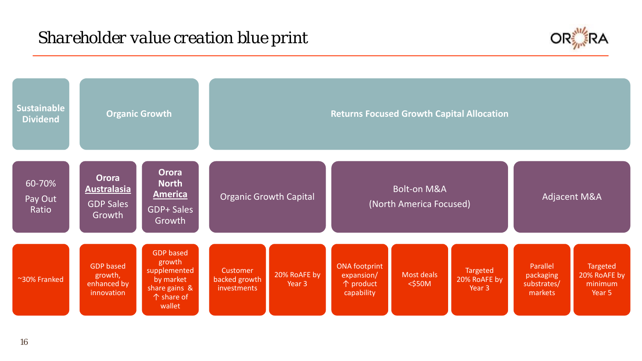# *Shareholder value creation blue print*



| <b>Sustainable</b><br><b>Dividend</b> |                                                           | <b>Organic Growth</b>                                                                                     | <b>Returns Focused Growth Capital Allocation</b> |                        |                                                               |                                                   |                                    |                                                 |                                               |  |
|---------------------------------------|-----------------------------------------------------------|-----------------------------------------------------------------------------------------------------------|--------------------------------------------------|------------------------|---------------------------------------------------------------|---------------------------------------------------|------------------------------------|-------------------------------------------------|-----------------------------------------------|--|
| 60-70%<br>Pay Out<br>Ratio            | Orora<br><b>Australasia</b><br><b>GDP Sales</b><br>Growth | <b>Orora</b><br><b>North</b><br><b>America</b><br><b>GDP+ Sales</b><br>Growth                             | <b>Organic Growth Capital</b>                    |                        |                                                               | <b>Bolt-on M&amp;A</b><br>(North America Focused) |                                    |                                                 | <b>Adjacent M&amp;A</b>                       |  |
| ~30% Franked                          | <b>GDP</b> based<br>growth,<br>enhanced by<br>innovation  | <b>GDP</b> based<br>growth<br>supplemented<br>by market<br>share gains &<br>$\uparrow$ share of<br>wallet | <b>Customer</b><br>backed growth<br>investments  | 20% RoAFE by<br>Year 3 | <b>ONA</b> footprint<br>expansion/<br>↑ product<br>capability | Most deals<br>$<$ \$50M                           | Targeted<br>20% RoAFE by<br>Year 3 | Parallel<br>packaging<br>substrates/<br>markets | Targeted<br>20% RoAFE by<br>minimum<br>Year 5 |  |

16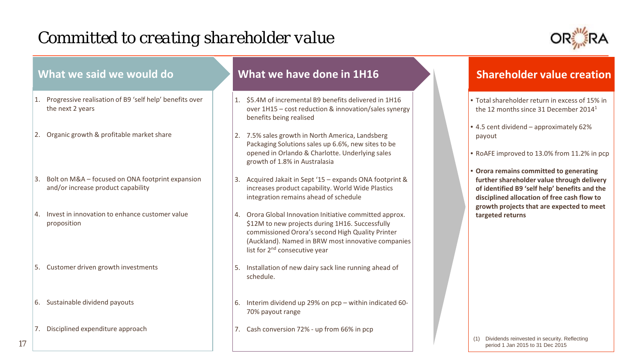# *Committed to creating shareholder value*

17



| What we said we would do                                                                     | What we have done in 1H16                                                                                                                                                                                                                                      | <b>Shareholder value creation</b>                                                                                                                                                     |
|----------------------------------------------------------------------------------------------|----------------------------------------------------------------------------------------------------------------------------------------------------------------------------------------------------------------------------------------------------------------|---------------------------------------------------------------------------------------------------------------------------------------------------------------------------------------|
| Progressive realisation of B9 'self help' benefits over<br>$\mathbf{11}$<br>the next 2 years | \$5.4M of incremental B9 benefits delivered in 1H16<br>over 1H15 - cost reduction & innovation/sales synergy<br>benefits being realised                                                                                                                        | • Total shareholder return in excess of 15% in<br>the 12 months since 31 December 2014 <sup>1</sup>                                                                                   |
| 2. Organic growth & profitable market share                                                  | 7.5% sales growth in North America, Landsberg<br>Packaging Solutions sales up 6.6%, new sites to be<br>opened in Orlando & Charlotte. Underlying sales<br>growth of 1.8% in Australasia                                                                        | $\cdot$ 4.5 cent dividend – approximately 62%<br>payout<br>• RoAFE improved to 13.0% from 11.2% in pcp                                                                                |
| Bolt on M&A - focused on ONA footprint expansion<br>3<br>and/or increase product capability  | Acquired Jakait in Sept '15 - expands ONA footprint &<br>3.<br>increases product capability. World Wide Plastics<br>integration remains ahead of schedule                                                                                                      | • Orora remains committed to generating<br>further shareholder value through delivery<br>of identified B9 'self help' benefits and the<br>disciplined allocation of free cash flow to |
| Invest in innovation to enhance customer value<br>$\mathbf{A}$ .<br>proposition              | Orora Global Innovation Initiative committed approx.<br>\$12M to new projects during 1H16. Successfully<br>commissioned Orora's second High Quality Printer<br>(Auckland). Named in BRW most innovative companies<br>list for 2 <sup>nd</sup> consecutive year | growth projects that are expected to meet<br>targeted returns                                                                                                                         |
| 5. Customer driven growth investments                                                        | Installation of new dairy sack line running ahead of<br>schedule.                                                                                                                                                                                              |                                                                                                                                                                                       |
| 6. Sustainable dividend payouts                                                              | Interim dividend up 29% on pcp - within indicated 60-<br>70% payout range                                                                                                                                                                                      |                                                                                                                                                                                       |
| Disciplined expenditure approach<br>$\langle 7, \rangle$                                     | 7. Cash conversion 72% - up from 66% in pcp                                                                                                                                                                                                                    | Dividends reinvested in security. Reflecting<br>period 1 Jan 2015 to 31 Dec 2015                                                                                                      |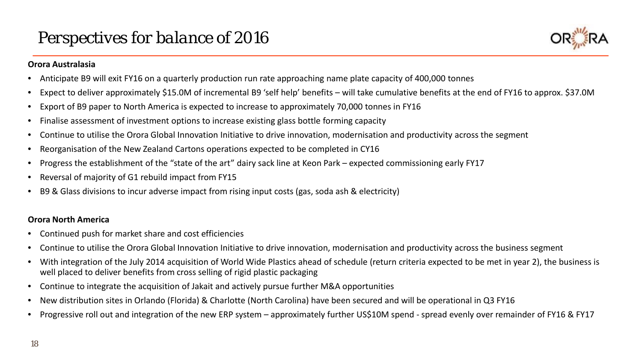

### **Orora Australasia**

- Anticipate B9 will exit FY16 on a quarterly production run rate approaching name plate capacity of 400,000 tonnes
- Expect to deliver approximately \$15.0M of incremental B9 'self help' benefits will take cumulative benefits at the end of FY16 to approx. \$37.0M
- Export of B9 paper to North America is expected to increase to approximately 70,000 tonnes in FY16
- Finalise assessment of investment options to increase existing glass bottle forming capacity
- Continue to utilise the Orora Global Innovation Initiative to drive innovation, modernisation and productivity across the segment
- Reorganisation of the New Zealand Cartons operations expected to be completed in CY16
- Progress the establishment of the "state of the art" dairy sack line at Keon Park expected commissioning early FY17
- Reversal of majority of G1 rebuild impact from FY15
- B9 & Glass divisions to incur adverse impact from rising input costs (gas, soda ash & electricity)

## **Orora North America**

- Continued push for market share and cost efficiencies
- Continue to utilise the Orora Global Innovation Initiative to drive innovation, modernisation and productivity across the business segment
- With integration of the July 2014 acquisition of World Wide Plastics ahead of schedule (return criteria expected to be met in year 2), the business is well placed to deliver benefits from cross selling of rigid plastic packaging
- Continue to integrate the acquisition of Jakait and actively pursue further M&A opportunities
- New distribution sites in Orlando (Florida) & Charlotte (North Carolina) have been secured and will be operational in Q3 FY16
- Progressive roll out and integration of the new ERP system approximately further US\$10M spend spread evenly over remainder of FY16 & FY17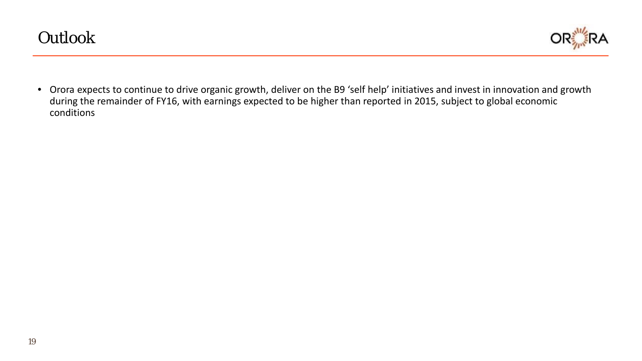

• Orora expects to continue to drive organic growth, deliver on the B9 'self help' initiatives and invest in innovation and growth during the remainder of FY16, with earnings expected to be higher than reported in 2015, subject to global economic conditions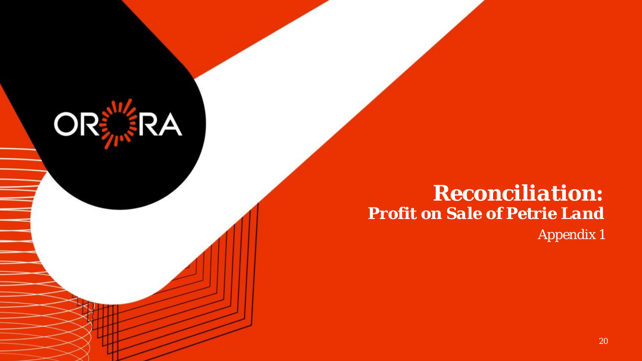# *Reconciliation: Profit on Sale of Petrie Land Appendix 1*

**ORERA**